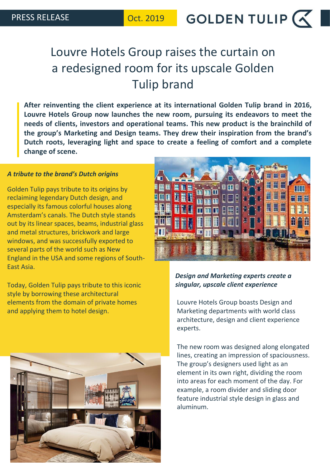GOLDEN TULIP  $\left(\left\langle \right\rangle\right|$ 

# Louvre Hotels Group raises the curtain on a redesigned room for its upscale Golden Tulip brand

**After reinventing the client experience at its international Golden Tulip brand in 2016, Louvre Hotels Group now launches the new room, pursuing its endeavors to meet the needs of clients, investors and operational teams. This new product is the brainchild of the group's Marketing and Design teams. They drew their inspiration from the brand's Dutch roots, leveraging light and space to create a feeling of comfort and a complete change of scene.**

#### *A tribute to the brand's Dutch origins*

Golden Tulip pays tribute to its origins by reclaiming legendary Dutch design, and especially its famous colorful houses along Amsterdam's canals. The Dutch style stands out by its linear spaces, beams, industrial glass and metal structures, brickwork and large windows, and was successfully exported to several parts of the world such as New England in the USA and some regions of South-East Asia.

Today, Golden Tulip pays tribute to this iconic style by borrowing these architectural elements from the domain of private homes and applying them to hotel design.





### *Design and Marketing experts create a singular, upscale client experience*

Louvre Hotels Group boasts Design and Marketing departments with world class architecture, design and client experience experts.

The new room was designed along elongated lines, creating an impression of spaciousness. The group's designers used light as an element in its own right, dividing the room into areas for each moment of the day. For example, a room divider and sliding door feature industrial style design in glass and aluminum.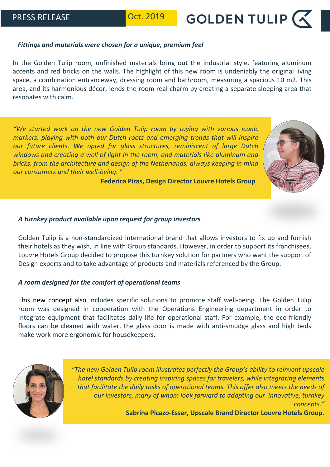**GOLDEN TULIP (** 

#### *Fittings and materials were chosen for a unique, premium feel*

In the Golden Tulip room, unfinished materials bring out the industrial style, featuring aluminum accents and red bricks on the walls. The highlight of this new room is undeniably the original living space, a combination entranceway, dressing room and bathroom, measuring a spacious 10 m2. This area, and its harmonious décor, lends the room real charm by creating a separate sleeping area that resonates with calm.

*"We started work on the new Golden Tulip room by toying with various iconic markers, playing with both our Dutch roots and emerging trends that will inspire our future clients. We opted for glass structures, reminiscent of large Dutch windows and creating a well of light in the room, and materials like aluminum and bricks, from the architecture and design of the Netherlands, always keeping in mind our consumers and their well-being. "*



**Federica Piras, Design Director Louvre Hotels Group**

#### *A turnkey product available upon request for group investors*

Golden Tulip is a non-standardized international brand that allows investors to fix up and furnish their hotels as they wish, in line with Group standards. However, in order to support its franchisees, Louvre Hotels Group decided to propose this turnkey solution for partners who want the support of Design experts and to take advantage of products and materials referenced by the Group.

### *A room designed for the comfort of operational teams*

This new concept also includes specific solutions to promote staff well-being. The Golden Tulip room was designed in cooperation with the Operations Engineering department in order to integrate equipment that facilitates daily life for operational staff. For example, the eco-friendly floors can be cleaned with water, the glass door is made with anti-smudge glass and high beds make work more ergonomic for housekeepers.



*"The new Golden Tulip room illustrates perfectly the Group's ability to reinvent upscale hotel standards by creating inspiring spaces for travelers, while integrating elements that facilitate the daily tasks of operational teams. This offer also meets the needs of our investors, many of whom look forward to adopting our innovative, turnkey concepts."*

**Sabrina Picazo-Esser, Upscale Brand Director Louvre Hotels Group.**